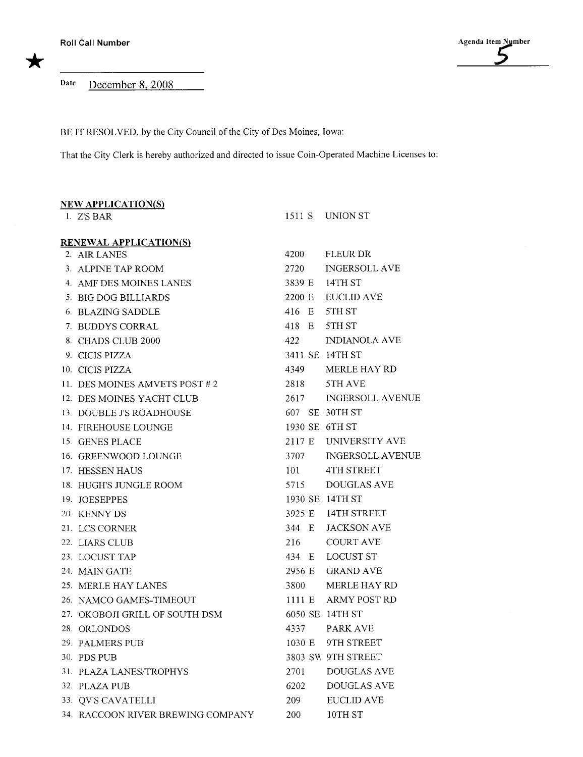Date December 8, 2008

BE IT RESOLVED, by the City Council of the City of Des Moines, Iowa:

That the City Clerk is hereby authorized and directed to issue Coin-Operated Machine Licenses to:

| <b>NEW APPLICATION(S)</b>         |        |                         |
|-----------------------------------|--------|-------------------------|
| 1. Z'S BAR                        |        | 1511 S UNION ST         |
| <b>RENEWAL APPLICATION(S)</b>     |        |                         |
| 2. AIR LANES                      | 4200   | <b>FLEUR DR</b>         |
| 3. ALPINE TAP ROOM                | 2720   | <b>INGERSOLL AVE</b>    |
| 4. AMF DES MOINES LANES           |        | 3839 E 14TH ST          |
| 5. BIG DOG BILLIARDS              | 2200 E | <b>EUCLID AVE</b>       |
| 6. BLAZING SADDLE                 | 416 E  | 5TH ST                  |
| 7. BUDDYS CORRAL                  | 418 E  | 5TH ST                  |
| 8. CHADS CLUB 2000                | 422    | <b>INDIANOLA AVE</b>    |
| 9. CICIS PIZZA                    |        | 3411 SE 14TH ST         |
| 10. CICIS PIZZA                   | 4349   | <b>MERLE HAY RD</b>     |
| 11. DES MOINES AMVETS POST #2     | 2818   | 5TH AVE                 |
| 12. DES MOINES YACHT CLUB         | 2617   | <b>INGERSOLL AVENUE</b> |
| 13. DOUBLE J'S ROADHOUSE          |        | 607 SE 30TH ST          |
| 14. FIREHOUSE LOUNGE              |        | 1930 SE 6TH ST          |
| 15. GENES PLACE                   |        | 2117 E UNIVERSITY AVE   |
| 16. GREENWOOD LOUNGE              | 3707   | <b>INGERSOLL AVENUE</b> |
| 17. HESSEN HAUS                   | 101    | <b>4TH STREET</b>       |
| 18. HUGH'S JUNGLE ROOM            | 5715   | <b>DOUGLAS AVE</b>      |
| 19. JOESEPPES                     |        | 1930 SE 14TH ST         |
| 20. KENNY DS                      |        | 3925 E 14TH STREET      |
| 21. LCS CORNER                    | 344 E  | <b>JACKSON AVE</b>      |
| 22. LIARS CLUB                    | 216    | <b>COURT AVE</b>        |
| 23. LOCUST TAP                    |        | 434 E LOCUST ST         |
| 24. MAIN GATE                     | 2956 E | <b>GRAND AVE</b>        |
| 25. MERLE HAY LANES               | 3800   | <b>MERLE HAY RD</b>     |
| 26. NAMCO GAMES-TIMEOUT           |        | 1111 E ARMY POST RD     |
| 27. OKOBOJI GRILL OF SOUTH DSM    |        | 6050 SE 14TH ST         |
| 28. ORLONDOS                      |        | 4337 PARK AVE           |
| 29. PALMERS PUB                   | 1030 E | 9TH STREET              |
| 30. PDS PUB                       |        | 3803 SW 9TH STREET      |
| 31. PLAZA LANES/TROPHYS           | 2701   | DOUGLAS AVE             |
| 32. PLAZA PUB                     | 6202   | <b>DOUGLAS AVE</b>      |
| 33. QV'S CAVATELLI                | 209    | <b>EUCLID AVE</b>       |
| 34. RACCOON RIVER BREWING COMPANY | 200    | 10TH ST                 |